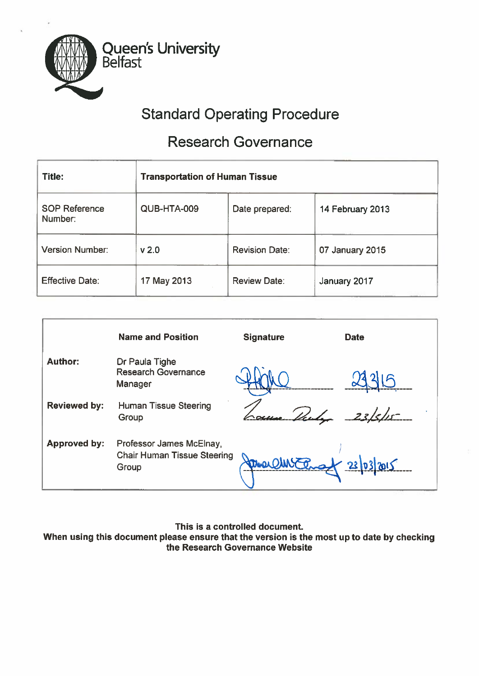

# Standard Operating Procedure

# Research Governance

| Title:                          | <b>Transportation of Human Tissue</b> |                       |                  |
|---------------------------------|---------------------------------------|-----------------------|------------------|
| <b>SOP Reference</b><br>Number: | QUB-HTA-009                           | Date prepared:        | 14 February 2013 |
| <b>Version Number:</b>          | v <sub>2.0</sub>                      | <b>Revision Date:</b> | 07 January 2015  |
| <b>Effective Date:</b>          | 17 May 2013                           | <b>Review Date:</b>   | January 2017     |

|                     | <b>Name and Position</b>                                                | <b>Signature</b> | <b>Date</b>       |
|---------------------|-------------------------------------------------------------------------|------------------|-------------------|
| <b>Author:</b>      | Dr Paula Tighe<br><b>Research Governance</b><br>Manager                 |                  |                   |
| <b>Reviewed by:</b> | <b>Human Tissue Steering</b><br>Group                                   |                  |                   |
| <b>Approved by:</b> | Professor James McElnay,<br><b>Chair Human Tissue Steering</b><br>Group | mar              | <u>23/03/2015</u> |

This is <sup>a</sup> controlled document

When using this document <sup>p</sup>lease ensure that the version is the most up to date by checking the Research Governance Website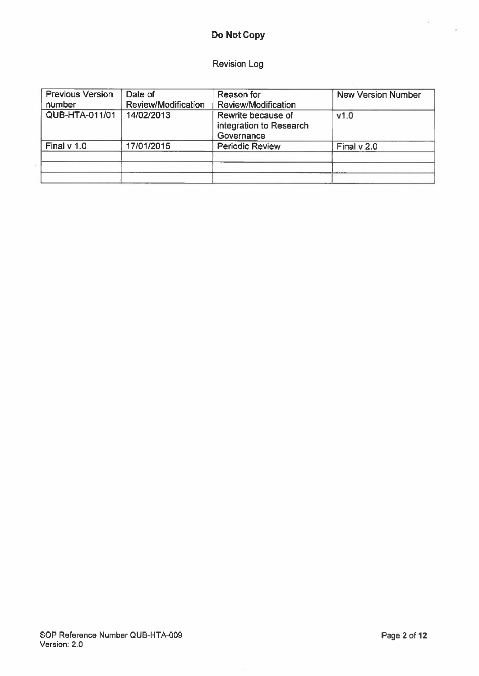# Do Not Copy

# Revision Log

| <b>Previous Version</b><br>number | Date of<br>Review/Modification | Reason for<br><b>Review/Modification</b>                    | <b>New Version Number</b> |
|-----------------------------------|--------------------------------|-------------------------------------------------------------|---------------------------|
| <b>QUB-HTA-011/01</b>             | 14/02/2013                     | Rewrite because of<br>integration to Research<br>Governance | v1.0                      |
| Final $v$ 1.0                     | 17/01/2015                     | <b>Periodic Review</b>                                      | Final $v$ 2.0             |

 $\hat{L}$ 

 $\frac{N}{2}$  .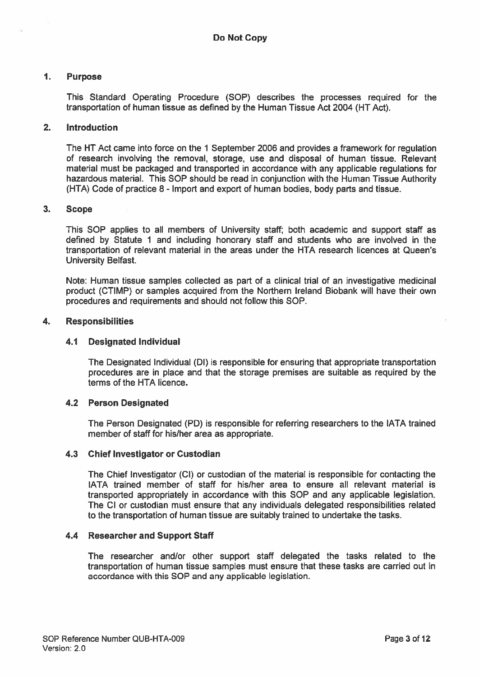# 1. Purpose

This Standard Operating Procedure (SOP) describes the processes required for the transportation of human tissue as defined by the Human Tissue Act 2004 (HT Act).

## 2. Introduction

The HT Act came into force on the 1 September 2006 and provides <sup>a</sup> framework for regulation of research involving the removal, storage, use and disposal of human tissue. Relevant material must be packaged and transported in accordance with any applicable regulations for hazardous material. This SOP should be read in conjunction with the Human Tissue Authority (HTA) Code of practice 8 - Import and expor<sup>t</sup> of human bodies, body parts and tissue.

## 3. Scope

This SOP applies to all members of University staff; both academic and suppor<sup>t</sup> staff as defined by Statute 1 and including honorary staff and students who are involved in the transportation of relevant material in the areas under the HTA research licences at Queen's University Belfast.

Note: Human tissue samples collected as par<sup>t</sup> of <sup>a</sup> clinical trial of an investigative medicinal product (CTIMP) or samples acquired from the Northern Ireland Biobank will have their own procedures and requirements and should not follow this SOP.

## 4. Responsibilities

# 4.1 Designated Individual

The Designated Individual (Dl) is responsible for ensuring that appropriate transportation procedures are in place and that the storage premises are suitable as required by the terms of the HTA licence.

#### 4.2 Person Designated

The Person Designated (PD) is responsible for referring researchers to the IATA trained member of staff for his/her area as appropriate.

#### 4.3 Chief Investigator or Custodian

The Chief Investigator (CI) or custodian of the material is responsible for contacting the IATA trained member of staff for his/her area to ensure all relevant material is transported appropriately in accordance with this SOP and any applicable legislation. The CI or custodian must ensure that any individuals delegated responsibilities related to the transportation of human tissue are suitably trained to undertake the tasks.

#### 4.4 Researcher and Support Staff

The researcher and/or other suppor<sup>t</sup> staff delegated the tasks related to the transportation of human tissue samples must ensure that these tasks are carried out in accordance with this SOP and any applicable legislation.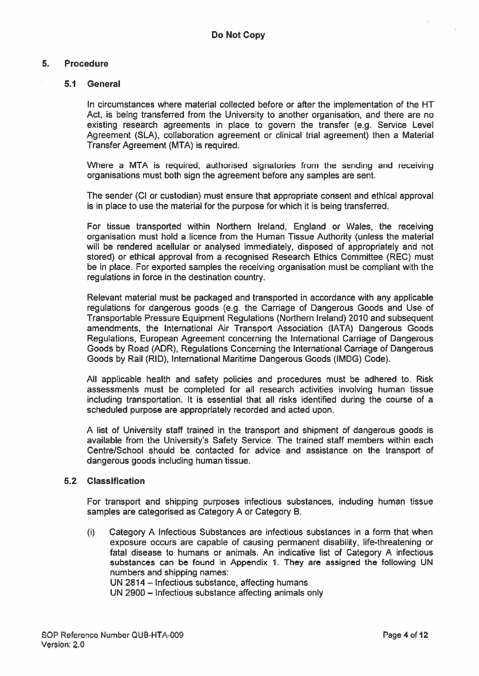# 5. Procedure

## 5.1 General

In circumstances where material collected before or after the implementation of the HT Act, is being transferred from the University to another organisation, and there are no existing research agreements in place to govern the transfer (e.g. Service Level Agreement (SLA), collaboration agreemen<sup>t</sup> or clinical trial agreement) then <sup>a</sup> Material Transfer Agreement (MTA) is required.

Where <sup>a</sup> MTA is required, authorised signatories from the sending and receiving organisations must both sign the agreemen<sup>t</sup> before any samples are sent.

The sender (Cl or custodian) must ensure that appropriate consent and ethical approval is in place to use the material for the purpose for which it is being transferred.

For tissue transported within Northern Ireland, England or Wales, the receiving organisation must hold <sup>a</sup> licence from the Human Tissue Authority (unless the material will be rendered acellular or analysed immediately, disposed of appropriately and not stored) or ethical approval from <sup>a</sup> recognised Research Ethics Committee (REC) must be in place. For exported samples the receiving organisation must be compliant with the regulations in force in the destination country.

Relevant material must be packaged and transported in accordance with any applicable regulations for dangerous goods (e.g. the Carriage of Dangerous Goods and Use of Transportable Pressure Equipment Regulations (Northern Ireland) 2010 and subsequent amendments, the International Air Transport Association (IATA) Dangerous Goods Regulations, European Agreement concerning the International Carriage of Dangerous Goods by Road (ADR), Regulations Concerning the International Carriage of Dangerous Goods by Rail (RID), International Maritime Dangerous Goods (IMDG) Code).

All applicable health and safety policies and procedures must be adhered to. Risk assessments must be completed for all research activities involving human tissue including transportation. It is essential that all risks identified during the course of <sup>a</sup> scheduled purpose are appropriately recorded and acted upon.

A list of University staff trained in the transport and shipment of dangerous goods is available from the University's Safety Service. The trained staff members within each Centre/School should be contacted for advice and assistance on the transport of dangerous goods including human tissue.

## 5.2 Classification

For transport and shipping purposes infectious substances, including human tissue samples are categorised as Category A or Category B.

(i) Category A Infectious Substances are infectious substances in <sup>a</sup> form that when exposure occurs are capable of causing permanen<sup>t</sup> disability, life-threatening or fatal disease to humans or animals. An indicative list of Category A infectious substances can be found in Appendix 1. They are assigned the following UN numbers and shipping names: UN 2814—Infectious substance, affecting humans

UN 2900 — Infectious substance affecting animals only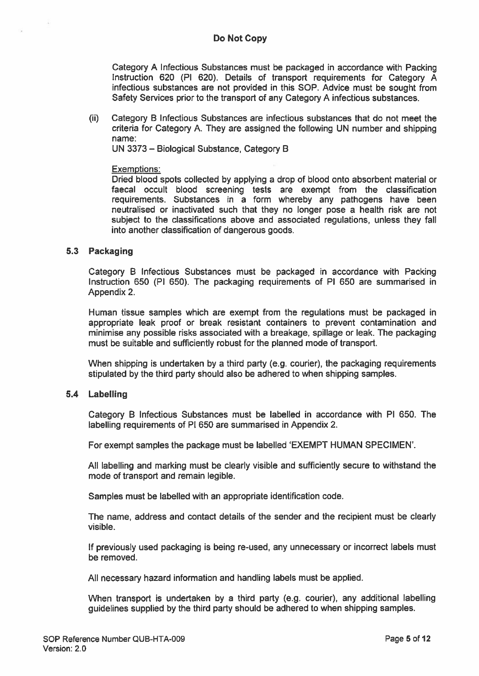Category A Infectious Substances must be packaged in accordance with Packing Instruction 620 (P1 620). Details of transport requirements for Category A infectious substances are not provided in this SOP. Advice must be sought from Safety Services prior to the transport of any Category A infectious substances.

 $(i)$  Category B Infectious Substances are infectious substances that do not meet the criteria for Category A. They are assigned the following UN number and shipping name:

UN 3373 — Biological Substance, Category B

## Exemptions:

Dried blood spots collected by applying <sup>a</sup> drop of blood onto absorbent material or faecal occult blood screening tests are exemp<sup>t</sup> from the classification requirements. Substances in <sup>a</sup> form whereby any pathogens have been neutralised or inactivated such that they no longer pose <sup>a</sup> health risk are not subject to the classifications above and associated regulations, unless they fall into another classification of dangerous goods.

# 5.3 Packaging

Category B Infectious Substances must be packaged in accordance with Packing Instruction 650 (P1 650). The packaging requirements of P1 650 are summarised in Appendix 2.

Human tissue samples which are exemp<sup>t</sup> from the regulations must be packaged in appropriate leak proof or break resistant containers to preven<sup>t</sup> contamination and minimise any possible risks associated with <sup>a</sup> breakage, spillage or leak. The packaging must be suitable and sufficiently robust for the planned mode of transport.

When shipping is undertaken by <sup>a</sup> third party (e.g. courier), the packaging requirements stipulated by the third party should also be adhered to when shipping samples.

# 5.4 Labelling

Category B Infectious Substances must be labelled in accordance with P1 650. The labelling requirements of P1 650 are summarised in Appendix 2.

For exemp<sup>t</sup> samples the package must be labelled 'EXEMPT HUMAN SPECIMEN'.

All labelling and marking must be clearly visible and sufficiently secure to withstand the mode of transport and remain legible.

Samples must be labelled with an appropriate identification code.

The name, address and contact details of the sender and the recipient must be clearly visible.

If previously used packaging is being re-used, any unnecessary or incorrect labels must be removed.

All necessary hazard information and handling labels must be applied.

When transport is undertaken by <sup>a</sup> third party (e.g. courier), any additional labelling guidelines supplied by the third party should be adhered to when shipping samples.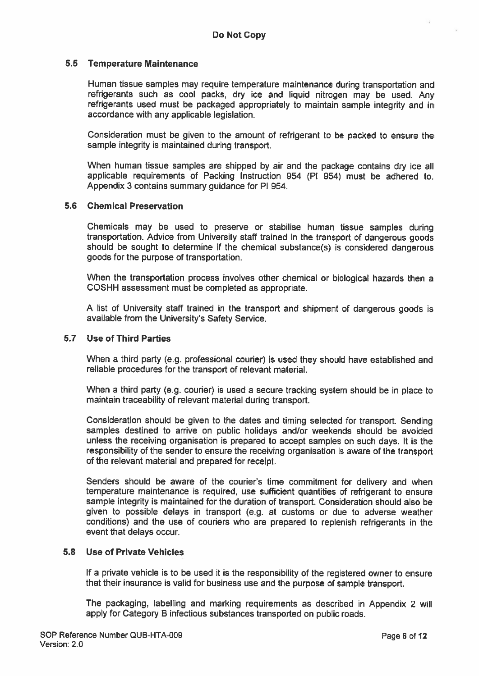# 5.5 Temperature Maintenance

Human tissue samples may require temperature maintenance during transportation and refrigerants such as cool packs, dry ice and liquid nitrogen may be used. Any refrigerants used must be packaged appropriately to maintain sample integrity and in accordance with any applicable legislation.

Consideration must be <sup>g</sup>iven to the amount of refrigerant to be packed to ensure the sample integrity is maintained during transport.

When human tissue samples are shipped by air and the package contains dry ice all applicable requirements of Packing Instruction 954 (P1 954) must be adhered to. Appendix 3 contains summary guidance for P1 954.

## 5.6 Chemical Preservation

Chemicals may be used to preserve or stabilise human tissue samples during transportation. Advice from University staff trained in the transport of dangerous goods should be sought to determine if the chemical substance(s) is considered dangerous goods for the purpose of transportation.

When the transportation process involves other chemical or biological hazards then <sup>a</sup> CQSHH assessment must be completed as appropriate.

<sup>A</sup> list of University staff trained in the transport and shipment of dangerous goods is available from the University's Safety Service.

## 5.7 Use of Third Parties

When <sup>a</sup> third party (e.g. professional courier) is used they should have established and reliable procedures for the transport of relevant material.

When <sup>a</sup> third party (e.g. courier) is used <sup>a</sup> secure tracking system should be in <sup>p</sup>lace to maintain traceability of relevant material during transport.

Consideration should be <sup>g</sup>iven to the dates and timing selected for transport. Sending samples destined to arrive on public holidays and/or weekends should be avoided unless the receiving organisation is prepared to accep<sup>t</sup> samples on such days. It is the responsibility of the sender to ensure the receiving organisation is aware of the transport of the relevant material and prepared for receipt.

Senders should be aware of the courier's time commitment for delivery and when temperature maintenance is required, use sufficient quantities of refrigerant to ensure sample integrity is maintained for the duration of transport. Consideration should also be given to possible delays in transport (e.g. at customs or due to adverse weather conditions) and the use of couriers who are prepared to replenish refrigerants in the event that delays occur

## 5.8 Use of Private Vehicles

If <sup>a</sup> private vehicle is to be used it is the responsibility of the registered owner to ensure that their insurance is valid for business use and the purpose of sample transport.

The packaging, labelling and marking requirements as described in Appendix <sup>2</sup> will apply for Category <sup>B</sup> infectious substances transported on public roads.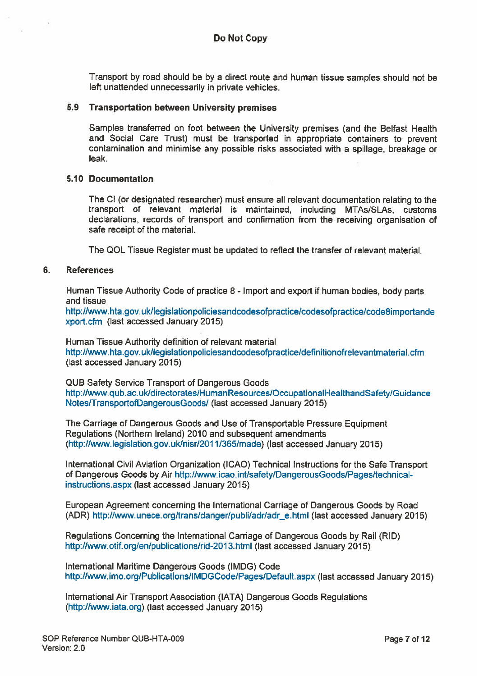Transport by road should be by <sup>a</sup> direct route and human tissue samples should not be left unattended unnecessarily in private vehicles.

## 5.9 Transportation between University premises

Samples transferred on foot between the University premises (and the Belfast Health and Social Care Trust) must be transported in appropriate containers to preven<sup>t</sup> contamination and minimise any possible risks associated with <sup>a</sup> spillage, breakage or leak.

# 5.10 Documentation

The CI (or designated researcher) must ensure all relevant documentation relating to the transport of relevant material is maintained, including MTAs/SLAs, customs declarations, records of transport and confirmation from the receiving organisation of safe receipt of the material.

The QOL Tissue Register must be updated to reflect the transfer of relevant material.

## 6. References

Human Tissue Authority Code of practice 8 - Import and expor<sup>t</sup> if human bodies, body parts and tissue

http://www.hta.gov.uk/legislationpoliciesandcodesofpractice/codesofpractice/code8importande xport.cfm (last accessed January 2015)

Human Tissue Authority definition of relevant material http://www.hta.gov.uk/legislationpoliciesandcodesofpractice/definitionofrelevantmaterial.cfm (fast accessed January 2015)

QUB Safety Service Transport of Dangerous Goods http://www.qub.ac.uk/directorates/HumanResources/OccupationalHealthandSafety/Guidance Notes/TransportofDangerousGoods/ (last accessed January 2015)

The Carriage of Dangerous Goods and Use of Transportable Pressure Equipment Regulations (Northern Ireland) 2010 and subsequent amendments (hftp://www.Iegislation.gov.uklnisr/201 1/365/made) (last accessed January 2015)

International Civil Aviation Organization (ICAO) Technical Instructions for the Safe Transport of Dangerous Goods by Air http://www.icao.int/safety/DangerousGoods/Pages/technicalinstructions.aspx (last accessed January 2015)

European Agreement concerning the International Carriage of Dangerous Goods by Road (ADR) http://www.unece.org/trans/danger/publi/adr/adr\_e.html (last accessed January 2015)

Regulations Concerning the International Carriage of Dangerous Goods by Rail (RID) http://www.otif.org/en/publications/rid-2013.html (last accessed January 2015)

International Maritime Dangerous Goods (IMDG) Code http://www.imo.org/Publications/IMDGCode/Pages/Default.aspx (last accessed January 2015)

International Air Transport Association (IATA) Dangerous Goods Regulations (http://www.iata.org) (last accessed January 2015)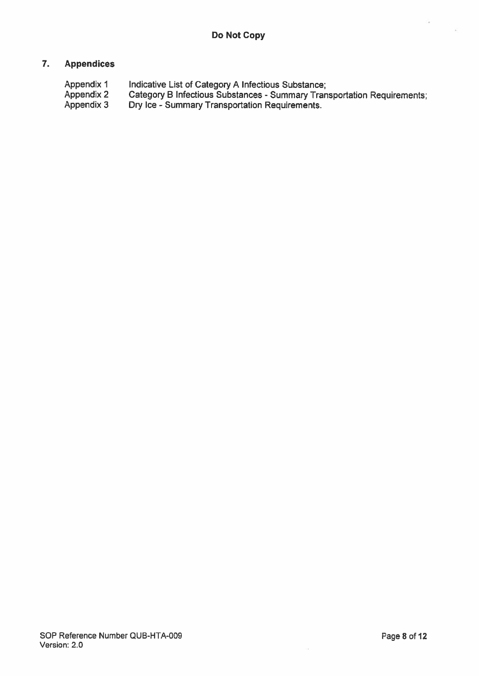# 7. Appendices

Appendix 1 Indicative List of Category A Infectious Substance;<br>Appendix 2 Category B Infectious Substances - Summary Tran Appendix <sup>2</sup> Category <sup>B</sup> Infectious Substances - Summary Transportation Requirements; Appendix 3 Dry Ice - Summary Transportation Requirements.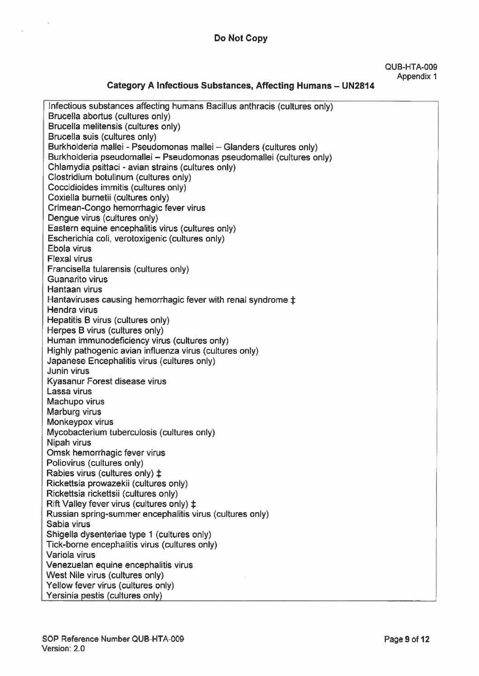# Do Not Copy

#### QUB-HTA-009 Appendix 1

# Category A Infectious Substances, Affecting Humans — UN2814

| Infectious substances affecting humans Bacillus anthracis (cultures only)      |
|--------------------------------------------------------------------------------|
| Brucella abortus (cultures only)                                               |
| Brucella melitensis (cultures only)                                            |
| Brucella suis (cultures only)                                                  |
| Burkholderia mallei - Pseudomonas mallei - Glanders (cultures only)            |
| Burkholderia pseudomallei - Pseudomonas pseudomallei (cultures only)           |
| Chlamydia psittaci - avian strains (cultures only)                             |
| Clostridium botulinum (cultures only)                                          |
| Coccidioides immitis (cultures only)                                           |
| Coxiella burnetii (cultures only)                                              |
| Crimean-Congo hemorrhagic fever virus                                          |
| Dengue virus (cultures only)                                                   |
| Eastern equine encephalitis virus (cultures only)                              |
| Escherichia coli, verotoxigenic (cultures only)                                |
| Ebola virus                                                                    |
| <b>Flexal virus</b>                                                            |
| Francisella tularensis (cultures only)                                         |
| <b>Guanarito virus</b>                                                         |
| Hantaan virus                                                                  |
| Hantaviruses causing hemorrhagic fever with renal syndrome #                   |
| <b>Hendra virus</b>                                                            |
| Hepatitis B virus (cultures only)                                              |
| Herpes B virus (cultures only)                                                 |
| Human immunodeficiency virus (cultures only)                                   |
| Highly pathogenic avian influenza virus (cultures only)                        |
| Japanese Encephalitis virus (cultures only)                                    |
| Junin virus                                                                    |
| Kyasanur Forest disease virus                                                  |
| Lassa virus                                                                    |
| Machupo virus                                                                  |
| Marburg virus                                                                  |
| Monkeypox virus                                                                |
| Mycobacterium tuberculosis (cultures only)                                     |
| Nipah virus                                                                    |
| Omsk hemorrhagic fever virus                                                   |
| Poliovirus (cultures only)                                                     |
| Rabies virus (cultures only) $\ddagger$                                        |
| Rickettsia prowazekii (cultures only)<br>Rickettsia rickettsii (cultures only) |
| Rift Valley fever virus (cultures only) $\ddagger$                             |
| Russian spring-summer encephalitis virus (cultures only)                       |
| Sabia virus                                                                    |
| Shigella dysenteriae type 1 (cultures only)                                    |
| Tick-borne encephalitis virus (cultures only)                                  |
| Variola virus                                                                  |
| Venezuelan equine encephalitis virus                                           |
| West Nile virus (cultures only)                                                |
| Yellow fever virus (cultures only)                                             |
| Yersinia pestis (cultures only)                                                |
|                                                                                |

Ý,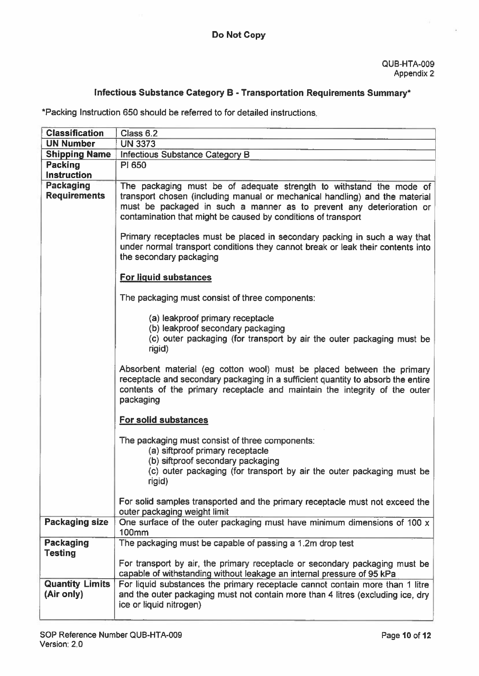# Infectious Substance Category B - Transportation Requirements Summary\*

\*Packing Instruction 650 should be referred to for detailed instructions.

| <b>Classification</b>              | Class 6.2                                                                                                                                                                                                                                                                                   |
|------------------------------------|---------------------------------------------------------------------------------------------------------------------------------------------------------------------------------------------------------------------------------------------------------------------------------------------|
| <b>UN Number</b>                   | <b>UN 3373</b>                                                                                                                                                                                                                                                                              |
| <b>Shipping Name</b>               | Infectious Substance Category B                                                                                                                                                                                                                                                             |
| <b>Packing</b>                     | PI 650                                                                                                                                                                                                                                                                                      |
| <b>Instruction</b>                 |                                                                                                                                                                                                                                                                                             |
| Packaging<br><b>Requirements</b>   | The packaging must be of adequate strength to withstand the mode of<br>transport chosen (including manual or mechanical handling) and the material<br>must be packaged in such a manner as to prevent any deterioration or<br>contamination that might be caused by conditions of transport |
|                                    | Primary receptacles must be placed in secondary packing in such a way that<br>under normal transport conditions they cannot break or leak their contents into<br>the secondary packaging                                                                                                    |
|                                    | <b>For liquid substances</b>                                                                                                                                                                                                                                                                |
|                                    | The packaging must consist of three components:                                                                                                                                                                                                                                             |
|                                    | (a) leakproof primary receptacle<br>(b) leakproof secondary packaging<br>(c) outer packaging (for transport by air the outer packaging must be<br>rigid)                                                                                                                                    |
|                                    | Absorbent material (eg cotton wool) must be placed between the primary<br>receptacle and secondary packaging in a sufficient quantity to absorb the entire<br>contents of the primary receptacle and maintain the integrity of the outer<br>packaging                                       |
|                                    | <b>For solid substances</b>                                                                                                                                                                                                                                                                 |
|                                    | The packaging must consist of three components:<br>(a) siftproof primary receptacle<br>(b) siftproof secondary packaging                                                                                                                                                                    |
|                                    | (c) outer packaging (for transport by air the outer packaging must be<br>rigid)                                                                                                                                                                                                             |
|                                    | For solid samples transported and the primary receptacle must not exceed the<br>outer packaging weight limit                                                                                                                                                                                |
| <b>Packaging size</b>              | One surface of the outer packaging must have minimum dimensions of 100 x<br><b>100mm</b>                                                                                                                                                                                                    |
| <b>Packaging</b><br><b>Testing</b> | The packaging must be capable of passing a 1.2m drop test                                                                                                                                                                                                                                   |
|                                    | For transport by air, the primary receptacle or secondary packaging must be<br>capable of withstanding without leakage an internal pressure of 95 kPa                                                                                                                                       |
| <b>Quantity Limits</b>             | For liquid substances the primary receptacle cannot contain more than 1 litre                                                                                                                                                                                                               |
| (Air only)                         | and the outer packaging must not contain more than 4 litres (excluding ice, dry                                                                                                                                                                                                             |
|                                    | ice or liquid nitrogen)                                                                                                                                                                                                                                                                     |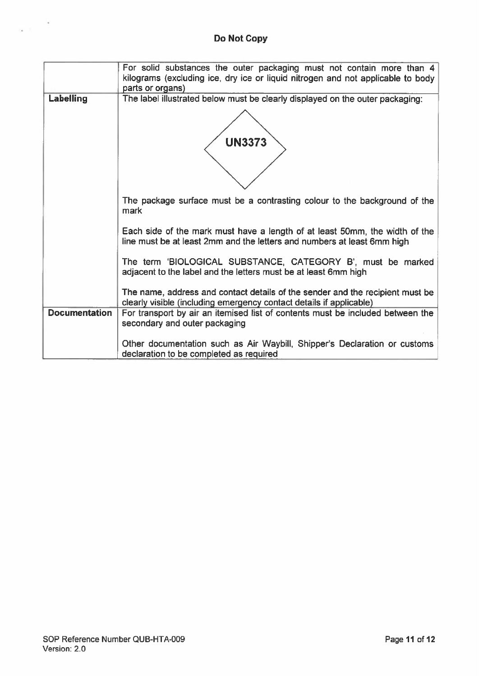# Do Not Copy

|                      | For solid substances the outer packaging must not contain more than 4<br>kilograms (excluding ice, dry ice or liquid nitrogen and not applicable to body<br>parts or organs) |
|----------------------|------------------------------------------------------------------------------------------------------------------------------------------------------------------------------|
| Labelling            | The label illustrated below must be clearly displayed on the outer packaging:                                                                                                |
|                      | <b>UN3373</b>                                                                                                                                                                |
|                      | The package surface must be a contrasting colour to the background of the<br>mark                                                                                            |
|                      | Each side of the mark must have a length of at least 50mm, the width of the<br>line must be at least 2mm and the letters and numbers at least 6mm high                       |
|                      | The term 'BIOLOGICAL SUBSTANCE, CATEGORY B', must be marked<br>adjacent to the label and the letters must be at least 6mm high                                               |
|                      | The name, address and contact details of the sender and the recipient must be<br>clearly visible (including emergency contact details if applicable)                         |
| <b>Documentation</b> | For transport by air an itemised list of contents must be included between the<br>secondary and outer packaging                                                              |
|                      | Other documentation such as Air Waybill, Shipper's Declaration or customs<br>declaration to be completed as required                                                         |

 $\epsilon_{\rm max}$